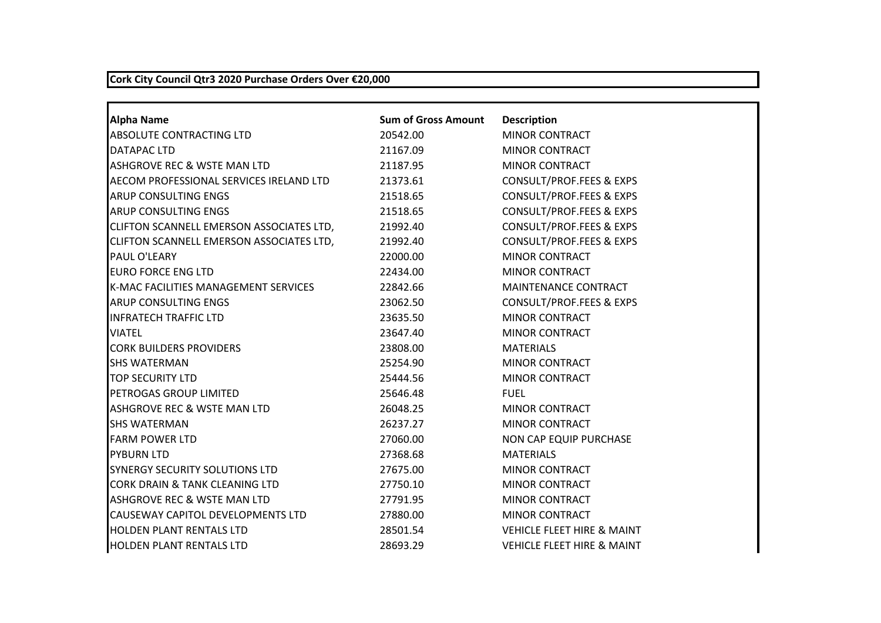## **Cork City Council Qtr3 2020 Purchase Orders Over €20,000**

| <b>Alpha Name</b>                        | <b>Sum of Gross Amount</b> | <b>Description</b>                    |
|------------------------------------------|----------------------------|---------------------------------------|
| ABSOLUTE CONTRACTING LTD                 | 20542.00                   | <b>MINOR CONTRACT</b>                 |
| DATAPAC LTD                              | 21167.09                   | <b>MINOR CONTRACT</b>                 |
| ASHGROVE REC & WSTE MAN LTD              | 21187.95                   | <b>MINOR CONTRACT</b>                 |
| AECOM PROFESSIONAL SERVICES IRELAND LTD  | 21373.61                   | CONSULT/PROF.FEES & EXPS              |
| ARUP CONSULTING ENGS                     | 21518.65                   | <b>CONSULT/PROF.FEES &amp; EXPS</b>   |
| ARUP CONSULTING ENGS                     | 21518.65                   | <b>CONSULT/PROF.FEES &amp; EXPS</b>   |
| CLIFTON SCANNELL EMERSON ASSOCIATES LTD, | 21992.40                   | <b>CONSULT/PROF.FEES &amp; EXPS</b>   |
| CLIFTON SCANNELL EMERSON ASSOCIATES LTD, | 21992.40                   | <b>CONSULT/PROF.FEES &amp; EXPS</b>   |
| PAUL O'LEARY                             | 22000.00                   | <b>MINOR CONTRACT</b>                 |
| <b>EURO FORCE ENG LTD</b>                | 22434.00                   | <b>MINOR CONTRACT</b>                 |
| K-MAC FACILITIES MANAGEMENT SERVICES     | 22842.66                   | MAINTENANCE CONTRACT                  |
| <b>ARUP CONSULTING ENGS</b>              | 23062.50                   | <b>CONSULT/PROF.FEES &amp; EXPS</b>   |
| <b>INFRATECH TRAFFIC LTD</b>             | 23635.50                   | <b>MINOR CONTRACT</b>                 |
| <b>VIATEL</b>                            | 23647.40                   | MINOR CONTRACT                        |
| <b>CORK BUILDERS PROVIDERS</b>           | 23808.00                   | <b>MATERIALS</b>                      |
| <b>SHS WATERMAN</b>                      | 25254.90                   | <b>MINOR CONTRACT</b>                 |
| <b>TOP SECURITY LTD</b>                  | 25444.56                   | <b>MINOR CONTRACT</b>                 |
| PETROGAS GROUP LIMITED                   | 25646.48                   | <b>FUEL</b>                           |
| ASHGROVE REC & WSTE MAN LTD              | 26048.25                   | <b>MINOR CONTRACT</b>                 |
| <b>SHS WATERMAN</b>                      | 26237.27                   | <b>MINOR CONTRACT</b>                 |
| <b>FARM POWER LTD</b>                    | 27060.00                   | NON CAP EQUIP PURCHASE                |
| <b>PYBURN LTD</b>                        | 27368.68                   | <b>MATERIALS</b>                      |
| <b>SYNERGY SECURITY SOLUTIONS LTD</b>    | 27675.00                   | <b>MINOR CONTRACT</b>                 |
| CORK DRAIN & TANK CLEANING LTD           | 27750.10                   | <b>MINOR CONTRACT</b>                 |
| ASHGROVE REC & WSTE MAN LTD              | 27791.95                   | <b>MINOR CONTRACT</b>                 |
| CAUSEWAY CAPITOL DEVELOPMENTS LTD        | 27880.00                   | <b>MINOR CONTRACT</b>                 |
| <b>HOLDEN PLANT RENTALS LTD</b>          | 28501.54                   | <b>VEHICLE FLEET HIRE &amp; MAINT</b> |
| <b>HOLDEN PLANT RENTALS LTD</b>          | 28693.29                   | <b>VEHICLE FLEET HIRE &amp; MAINT</b> |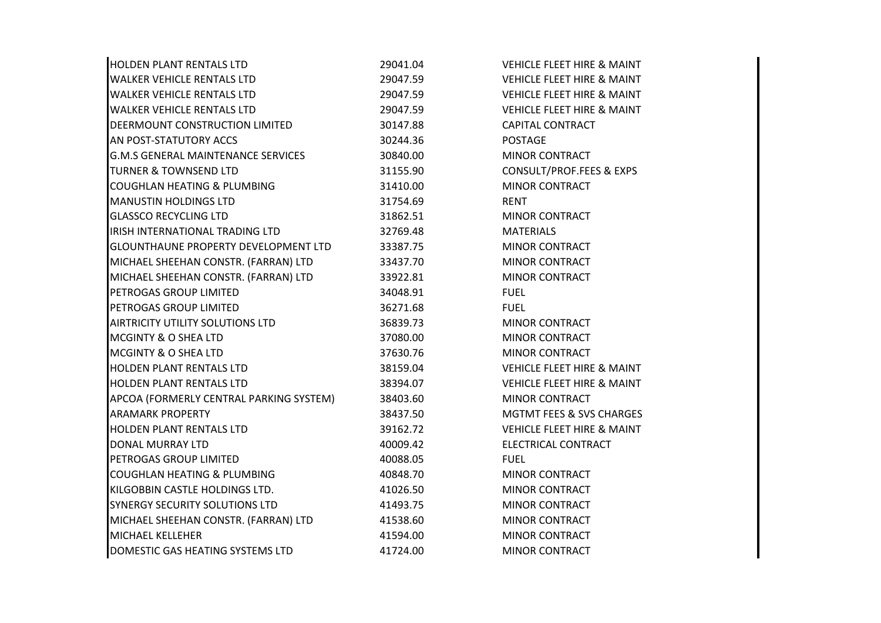| <b>HOLDEN PLANT RENTALS LTD</b>             | 29041.04 | <b>VEHICLE FLEET HIRE &amp; MAINT</b> |
|---------------------------------------------|----------|---------------------------------------|
| <b>WALKER VEHICLE RENTALS LTD</b>           | 29047.59 | <b>VEHICLE FLEET HIRE &amp; MAINT</b> |
| <b>WALKER VEHICLE RENTALS LTD</b>           | 29047.59 | <b>VEHICLE FLEET HIRE &amp; MAINT</b> |
| <b>WALKER VEHICLE RENTALS LTD</b>           | 29047.59 | <b>VEHICLE FLEET HIRE &amp; MAINT</b> |
| DEERMOUNT CONSTRUCTION LIMITED              | 30147.88 | <b>CAPITAL CONTRACT</b>               |
| AN POST-STATUTORY ACCS                      | 30244.36 | <b>POSTAGE</b>                        |
| <b>G.M.S GENERAL MAINTENANCE SERVICES</b>   | 30840.00 | MINOR CONTRACT                        |
| <b>TURNER &amp; TOWNSEND LTD</b>            | 31155.90 | CONSULT/PROF.FEES & EXPS              |
| <b>COUGHLAN HEATING &amp; PLUMBING</b>      | 31410.00 | <b>MINOR CONTRACT</b>                 |
| <b>MANUSTIN HOLDINGS LTD</b>                | 31754.69 | <b>RENT</b>                           |
| <b>GLASSCO RECYCLING LTD</b>                | 31862.51 | <b>MINOR CONTRACT</b>                 |
| IRISH INTERNATIONAL TRADING LTD             | 32769.48 | <b>MATERIALS</b>                      |
| <b>GLOUNTHAUNE PROPERTY DEVELOPMENT LTD</b> | 33387.75 | MINOR CONTRACT                        |
| MICHAEL SHEEHAN CONSTR. (FARRAN) LTD        | 33437.70 | <b>MINOR CONTRACT</b>                 |
| MICHAEL SHEEHAN CONSTR. (FARRAN) LTD        | 33922.81 | <b>MINOR CONTRACT</b>                 |
| PETROGAS GROUP LIMITED                      | 34048.91 | <b>FUEL</b>                           |
| PETROGAS GROUP LIMITED                      | 36271.68 | <b>FUEL</b>                           |
| AIRTRICITY UTILITY SOLUTIONS LTD            | 36839.73 | MINOR CONTRACT                        |
| <b>MCGINTY &amp; O SHEA LTD</b>             | 37080.00 | <b>MINOR CONTRACT</b>                 |
| <b>MCGINTY &amp; O SHEA LTD</b>             | 37630.76 | <b>MINOR CONTRACT</b>                 |
| <b>HOLDEN PLANT RENTALS LTD</b>             | 38159.04 | <b>VEHICLE FLEET HIRE &amp; MAINT</b> |
| <b>HOLDEN PLANT RENTALS LTD</b>             | 38394.07 | <b>VEHICLE FLEET HIRE &amp; MAINT</b> |
| APCOA (FORMERLY CENTRAL PARKING SYSTEM)     | 38403.60 | MINOR CONTRACT                        |
| <b>ARAMARK PROPERTY</b>                     | 38437.50 | <b>MGTMT FEES &amp; SVS CHARGES</b>   |
| <b>HOLDEN PLANT RENTALS LTD</b>             | 39162.72 | <b>VEHICLE FLEET HIRE &amp; MAINT</b> |
| <b>DONAL MURRAY LTD</b>                     | 40009.42 | ELECTRICAL CONTRACT                   |
| PETROGAS GROUP LIMITED                      | 40088.05 | <b>FUEL</b>                           |
| <b>COUGHLAN HEATING &amp; PLUMBING</b>      | 40848.70 | <b>MINOR CONTRACT</b>                 |
| KILGOBBIN CASTLE HOLDINGS LTD.              | 41026.50 | <b>MINOR CONTRACT</b>                 |
| SYNERGY SECURITY SOLUTIONS LTD              | 41493.75 | MINOR CONTRACT                        |
| MICHAEL SHEEHAN CONSTR. (FARRAN) LTD        | 41538.60 | <b>MINOR CONTRACT</b>                 |
| <b>MICHAEL KELLEHER</b>                     | 41594.00 | <b>MINOR CONTRACT</b>                 |
| DOMESTIC GAS HEATING SYSTEMS LTD            | 41724.00 | <b>MINOR CONTRACT</b>                 |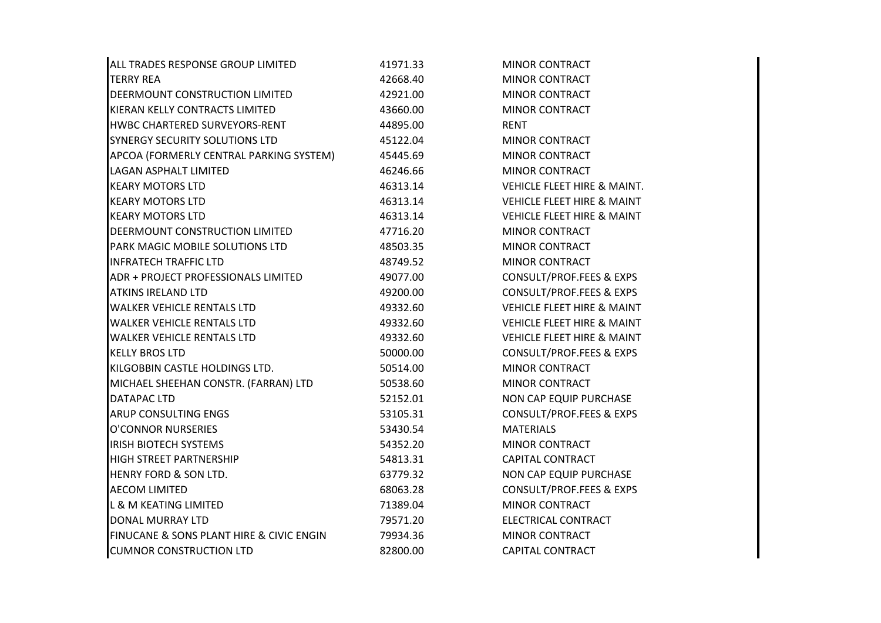| ALL TRADES RESPONSE GROUP LIMITED        | 41971.33 | <b>MINOR CONTRACT</b>                 |
|------------------------------------------|----------|---------------------------------------|
| <b>TERRY REA</b>                         | 42668.40 | <b>MINOR CONTRACT</b>                 |
| DEERMOUNT CONSTRUCTION LIMITED           | 42921.00 | <b>MINOR CONTRACT</b>                 |
| KIERAN KELLY CONTRACTS LIMITED           | 43660.00 | <b>MINOR CONTRACT</b>                 |
| HWBC CHARTERED SURVEYORS-RENT            | 44895.00 | <b>RENT</b>                           |
| SYNERGY SECURITY SOLUTIONS LTD           | 45122.04 | <b>MINOR CONTRACT</b>                 |
| APCOA (FORMERLY CENTRAL PARKING SYSTEM)  | 45445.69 | MINOR CONTRACT                        |
| <b>LAGAN ASPHALT LIMITED</b>             | 46246.66 | <b>MINOR CONTRACT</b>                 |
| <b>KEARY MOTORS LTD</b>                  | 46313.14 | VEHICLE FLEET HIRE & MAINT.           |
| <b>KEARY MOTORS LTD</b>                  | 46313.14 | <b>VEHICLE FLEET HIRE &amp; MAINT</b> |
| <b>KEARY MOTORS LTD</b>                  | 46313.14 | <b>VEHICLE FLEET HIRE &amp; MAINT</b> |
| DEERMOUNT CONSTRUCTION LIMITED           | 47716.20 | <b>MINOR CONTRACT</b>                 |
| PARK MAGIC MOBILE SOLUTIONS LTD          | 48503.35 | MINOR CONTRACT                        |
| <b>INFRATECH TRAFFIC LTD</b>             | 48749.52 | MINOR CONTRACT                        |
| ADR + PROJECT PROFESSIONALS LIMITED      | 49077.00 | CONSULT/PROF.FEES & EXPS              |
| <b>ATKINS IRELAND LTD</b>                | 49200.00 | <b>CONSULT/PROF.FEES &amp; EXPS</b>   |
| <b>WALKER VEHICLE RENTALS LTD</b>        | 49332.60 | <b>VEHICLE FLEET HIRE &amp; MAINT</b> |
| <b>WALKER VEHICLE RENTALS LTD</b>        | 49332.60 | <b>VEHICLE FLEET HIRE &amp; MAINT</b> |
| <b>WALKER VEHICLE RENTALS LTD</b>        | 49332.60 | <b>VEHICLE FLEET HIRE &amp; MAINT</b> |
| <b>KELLY BROS LTD</b>                    | 50000.00 | <b>CONSULT/PROF.FEES &amp; EXPS</b>   |
| KILGOBBIN CASTLE HOLDINGS LTD.           | 50514.00 | MINOR CONTRACT                        |
| MICHAEL SHEEHAN CONSTR. (FARRAN) LTD     | 50538.60 | <b>MINOR CONTRACT</b>                 |
| DATAPAC LTD                              | 52152.01 | NON CAP EQUIP PURCHASE                |
| <b>ARUP CONSULTING ENGS</b>              | 53105.31 | <b>CONSULT/PROF.FEES &amp; EXPS</b>   |
| <b>O'CONNOR NURSERIES</b>                | 53430.54 | <b>MATERIALS</b>                      |
| <b>IRISH BIOTECH SYSTEMS</b>             | 54352.20 | MINOR CONTRACT                        |
| HIGH STREET PARTNERSHIP                  | 54813.31 | <b>CAPITAL CONTRACT</b>               |
| HENRY FORD & SON LTD.                    | 63779.32 | NON CAP EQUIP PURCHASE                |
| <b>AECOM LIMITED</b>                     | 68063.28 | <b>CONSULT/PROF.FEES &amp; EXPS</b>   |
| <b>L &amp; M KEATING LIMITED</b>         | 71389.04 | <b>MINOR CONTRACT</b>                 |
| <b>DONAL MURRAY LTD</b>                  | 79571.20 | ELECTRICAL CONTRACT                   |
| FINUCANE & SONS PLANT HIRE & CIVIC ENGIN | 79934.36 | <b>MINOR CONTRACT</b>                 |
| <b>CUMNOR CONSTRUCTION LTD</b>           | 82800.00 | <b>CAPITAL CONTRACT</b>               |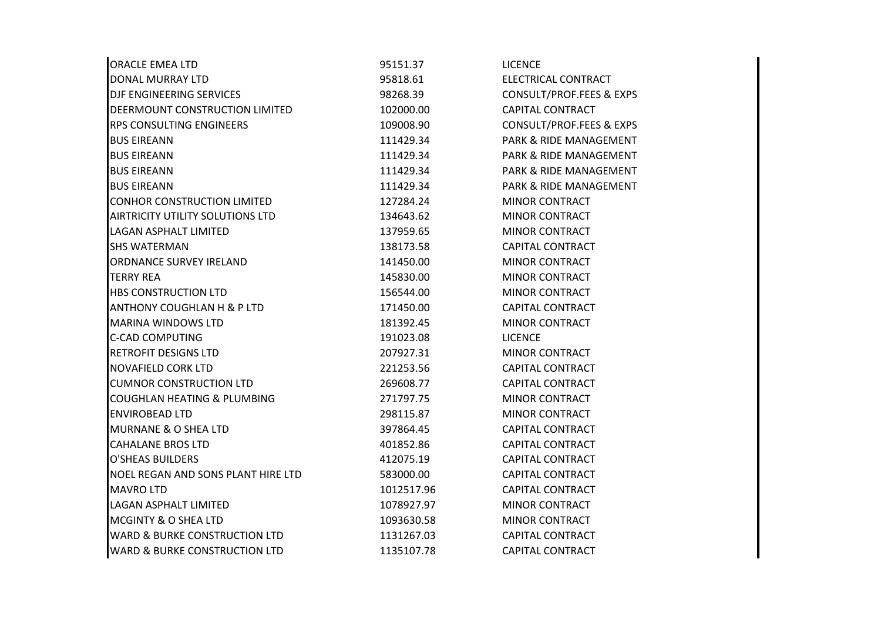| <b>ORACLE EMEA LTD</b>                   | 95151.37   | <b>LICENCE</b>                    |
|------------------------------------------|------------|-----------------------------------|
| DONAL MURRAY LTD                         | 95818.61   | ELECTRICAL CONTRACT               |
| DJF ENGINEERING SERVICES                 | 98268.39   | CONSULT/PROF.FEES & EXPS          |
| DEERMOUNT CONSTRUCTION LIMITED           | 102000.00  | <b>CAPITAL CONTRACT</b>           |
| RPS CONSULTING ENGINEERS                 | 109008.90  | CONSULT/PROF.FEES & EXPS          |
| <b>BUS EIREANN</b>                       | 111429.34  | PARK & RIDE MANAGEMENT            |
| <b>BUS EIREANN</b>                       | 111429.34  | PARK & RIDE MANAGEMENT            |
| <b>BUS EIREANN</b>                       | 111429.34  | <b>PARK &amp; RIDE MANAGEMENT</b> |
| <b>BUS EIREANN</b>                       | 111429.34  | PARK & RIDE MANAGEMENT            |
| <b>CONHOR CONSTRUCTION LIMITED</b>       | 127284.24  | <b>MINOR CONTRACT</b>             |
| AIRTRICITY UTILITY SOLUTIONS LTD         | 134643.62  | <b>MINOR CONTRACT</b>             |
| <b>LAGAN ASPHALT LIMITED</b>             | 137959.65  | <b>MINOR CONTRACT</b>             |
| <b>SHS WATERMAN</b>                      | 138173.58  | <b>CAPITAL CONTRACT</b>           |
| ORDNANCE SURVEY IRELAND                  | 141450.00  | <b>MINOR CONTRACT</b>             |
| <b>TERRY REA</b>                         | 145830.00  | <b>MINOR CONTRACT</b>             |
| <b>HBS CONSTRUCTION LTD</b>              | 156544.00  | <b>MINOR CONTRACT</b>             |
| ANTHONY COUGHLAN H & P LTD               | 171450.00  | <b>CAPITAL CONTRACT</b>           |
| <b>MARINA WINDOWS LTD</b>                | 181392.45  | <b>MINOR CONTRACT</b>             |
| <b>C-CAD COMPUTING</b>                   | 191023.08  | <b>LICENCE</b>                    |
| <b>RETROFIT DESIGNS LTD</b>              | 207927.31  | MINOR CONTRACT                    |
| <b>NOVAFIELD CORK LTD</b>                | 221253.56  | <b>CAPITAL CONTRACT</b>           |
| <b>CUMNOR CONSTRUCTION LTD</b>           | 269608.77  | <b>CAPITAL CONTRACT</b>           |
| COUGHLAN HEATING & PLUMBING              | 271797.75  | MINOR CONTRACT                    |
| <b>ENVIROBEAD LTD</b>                    | 298115.87  | <b>MINOR CONTRACT</b>             |
| <b>MURNANE &amp; O SHEA LTD</b>          | 397864.45  | <b>CAPITAL CONTRACT</b>           |
| <b>CAHALANE BROS LTD</b>                 | 401852.86  | <b>CAPITAL CONTRACT</b>           |
| <b>O'SHEAS BUILDERS</b>                  | 412075.19  | <b>CAPITAL CONTRACT</b>           |
| NOEL REGAN AND SONS PLANT HIRE LTD       | 583000.00  | <b>CAPITAL CONTRACT</b>           |
| <b>MAVRO LTD</b>                         | 1012517.96 | <b>CAPITAL CONTRACT</b>           |
| <b>LAGAN ASPHALT LIMITED</b>             | 1078927.97 | <b>MINOR CONTRACT</b>             |
| <b>MCGINTY &amp; O SHEA LTD</b>          | 1093630.58 | <b>MINOR CONTRACT</b>             |
| <b>WARD &amp; BURKE CONSTRUCTION LTD</b> | 1131267.03 | <b>CAPITAL CONTRACT</b>           |
| <b>WARD &amp; BURKE CONSTRUCTION LTD</b> | 1135107.78 | <b>CAPITAL CONTRACT</b>           |